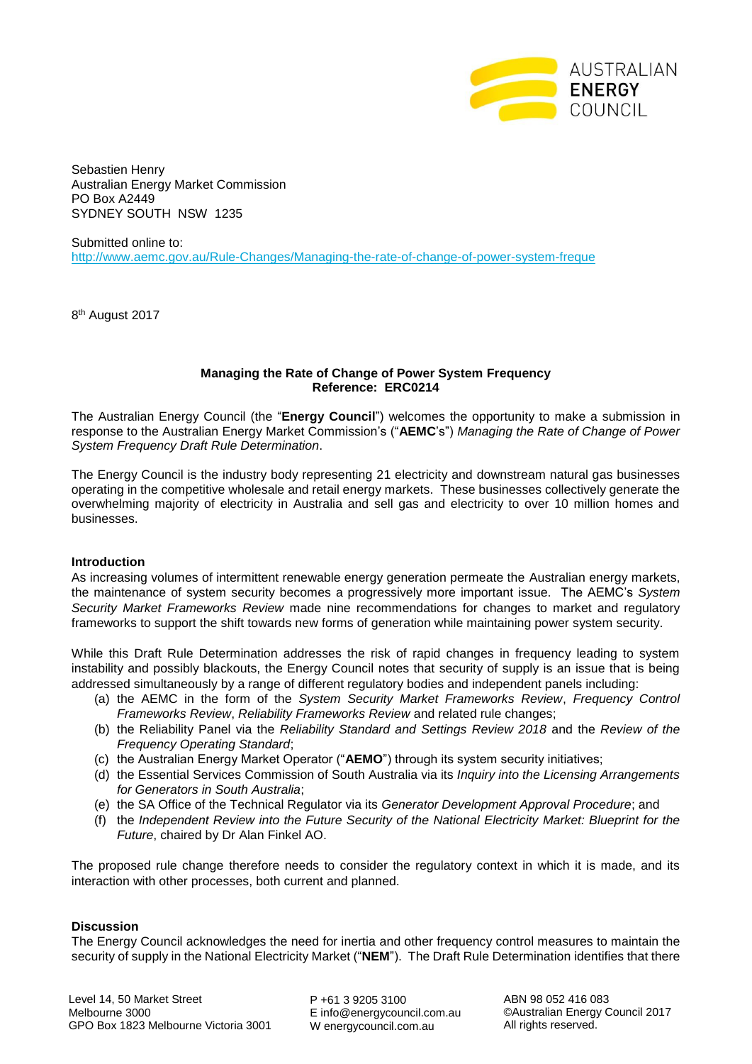

Sebastien Henry Australian Energy Market Commission PO Box A2449 SYDNEY SOUTH NSW 1235

Submitted online to: <http://www.aemc.gov.au/Rule-Changes/Managing-the-rate-of-change-of-power-system-freque>

8<sup>th</sup> August 2017

## **Managing the Rate of Change of Power System Frequency Reference: ERC0214**

The Australian Energy Council (the "**Energy Council**") welcomes the opportunity to make a submission in response to the Australian Energy Market Commission's ("**AEMC**'s") *Managing the Rate of Change of Power System Frequency Draft Rule Determination*.

The Energy Council is the industry body representing 21 electricity and downstream natural gas businesses operating in the competitive wholesale and retail energy markets. These businesses collectively generate the overwhelming majority of electricity in Australia and sell gas and electricity to over 10 million homes and businesses.

## **Introduction**

As increasing volumes of intermittent renewable energy generation permeate the Australian energy markets, the maintenance of system security becomes a progressively more important issue. The AEMC's *System Security Market Frameworks Review* made nine recommendations for changes to market and regulatory frameworks to support the shift towards new forms of generation while maintaining power system security.

While this Draft Rule Determination addresses the risk of rapid changes in frequency leading to system instability and possibly blackouts, the Energy Council notes that security of supply is an issue that is being addressed simultaneously by a range of different regulatory bodies and independent panels including:

- (a) the AEMC in the form of the *System Security Market Frameworks Review*, *Frequency Control Frameworks Review*, *Reliability Frameworks Review* and related rule changes;
- (b) the Reliability Panel via the *Reliability Standard and Settings Review 2018* and the *Review of the Frequency Operating Standard*;
- (c) the Australian Energy Market Operator ("**AEMO**") through its system security initiatives;
- (d) the Essential Services Commission of South Australia via its *Inquiry into the Licensing Arrangements for Generators in South Australia*;
- (e) the SA Office of the Technical Regulator via its *Generator Development Approval Procedure*; and
- (f) the *Independent Review into the Future Security of the National Electricity Market: Blueprint for the Future*, chaired by Dr Alan Finkel AO.

The proposed rule change therefore needs to consider the regulatory context in which it is made, and its interaction with other processes, both current and planned.

## **Discussion**

The Energy Council acknowledges the need for inertia and other frequency control measures to maintain the security of supply in the National Electricity Market ("**NEM**"). The Draft Rule Determination identifies that there

Level 14, 50 Market Street Melbourne 3000 GPO Box 1823 Melbourne Victoria 3001

P +61 3 9205 3100 E info@energycouncil.com.au W energycouncil.com.au

ABN 98 052 416 083 ©Australian Energy Council 2017 All rights reserved.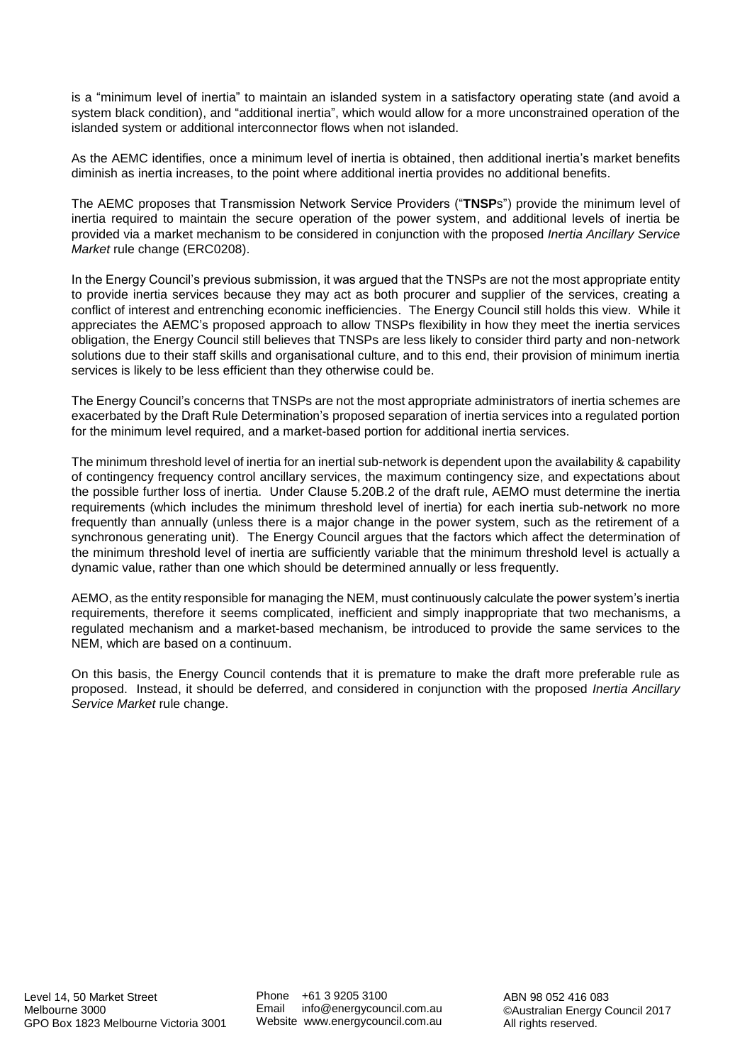is a "minimum level of inertia" to maintain an islanded system in a satisfactory operating state (and avoid a system black condition), and "additional inertia", which would allow for a more unconstrained operation of the islanded system or additional interconnector flows when not islanded.

As the AEMC identifies, once a minimum level of inertia is obtained, then additional inertia's market benefits diminish as inertia increases, to the point where additional inertia provides no additional benefits.

The AEMC proposes that Transmission Network Service Providers ("**TNSP**s") provide the minimum level of inertia required to maintain the secure operation of the power system, and additional levels of inertia be provided via a market mechanism to be considered in conjunction with the proposed *Inertia Ancillary Service Market* rule change (ERC0208).

In the Energy Council's previous submission, it was argued that the TNSPs are not the most appropriate entity to provide inertia services because they may act as both procurer and supplier of the services, creating a conflict of interest and entrenching economic inefficiencies. The Energy Council still holds this view. While it appreciates the AEMC's proposed approach to allow TNSPs flexibility in how they meet the inertia services obligation, the Energy Council still believes that TNSPs are less likely to consider third party and non-network solutions due to their staff skills and organisational culture, and to this end, their provision of minimum inertia services is likely to be less efficient than they otherwise could be.

The Energy Council's concerns that TNSPs are not the most appropriate administrators of inertia schemes are exacerbated by the Draft Rule Determination's proposed separation of inertia services into a regulated portion for the minimum level required, and a market-based portion for additional inertia services.

The minimum threshold level of inertia for an inertial sub-network is dependent upon the availability & capability of contingency frequency control ancillary services, the maximum contingency size, and expectations about the possible further loss of inertia. Under Clause 5.20B.2 of the draft rule, AEMO must determine the inertia requirements (which includes the minimum threshold level of inertia) for each inertia sub-network no more frequently than annually (unless there is a major change in the power system, such as the retirement of a synchronous generating unit). The Energy Council argues that the factors which affect the determination of the minimum threshold level of inertia are sufficiently variable that the minimum threshold level is actually a dynamic value, rather than one which should be determined annually or less frequently.

AEMO, as the entity responsible for managing the NEM, must continuously calculate the power system's inertia requirements, therefore it seems complicated, inefficient and simply inappropriate that two mechanisms, a regulated mechanism and a market-based mechanism, be introduced to provide the same services to the NEM, which are based on a continuum.

On this basis, the Energy Council contends that it is premature to make the draft more preferable rule as proposed. Instead, it should be deferred, and considered in conjunction with the proposed *Inertia Ancillary Service Market* rule change.